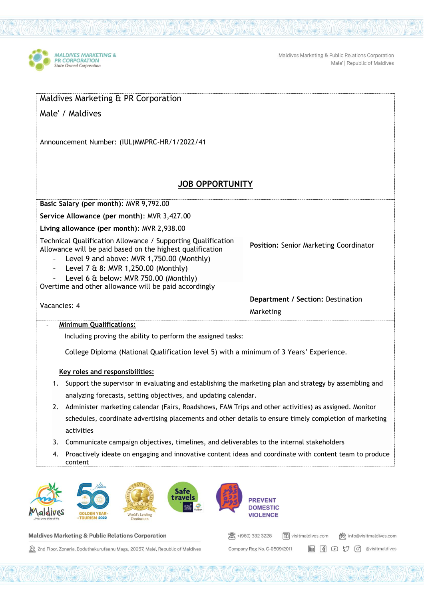

Maldives Marketing & Public Relations Corporation Male' | Republic of Maldives

|                                                                                                            | Announcement Number: (IUL)MMPRC-HR/1/2022/41                                                                                                                                                                                                                                                                    |                        |                                          |                                        |
|------------------------------------------------------------------------------------------------------------|-----------------------------------------------------------------------------------------------------------------------------------------------------------------------------------------------------------------------------------------------------------------------------------------------------------------|------------------------|------------------------------------------|----------------------------------------|
|                                                                                                            |                                                                                                                                                                                                                                                                                                                 | <b>JOB OPPORTUNITY</b> |                                          |                                        |
|                                                                                                            | Basic Salary (per month): MVR 9,792.00                                                                                                                                                                                                                                                                          |                        |                                          |                                        |
| Service Allowance (per month): MVR 3,427.00                                                                |                                                                                                                                                                                                                                                                                                                 |                        |                                          |                                        |
|                                                                                                            | Living allowance (per month): MVR 2,938.00                                                                                                                                                                                                                                                                      |                        |                                          |                                        |
| $\overline{\phantom{a}}$<br>$\blacksquare$                                                                 | Technical Qualification Allowance / Supporting Qualification<br>Allowance will be paid based on the highest qualification<br>Level 9 and above: MVR 1,750.00 (Monthly)<br>Level 7 & 8: MVR 1,250.00 (Monthly)<br>Level 6 & below: MVR 750.00 (Monthly)<br>Overtime and other allowance will be paid accordingly |                        |                                          | Position: Senior Marketing Coordinator |
| Vacancies: 4                                                                                               |                                                                                                                                                                                                                                                                                                                 |                        | <b>Department / Section: Destination</b> |                                        |
|                                                                                                            |                                                                                                                                                                                                                                                                                                                 |                        | Marketing                                |                                        |
|                                                                                                            | <b>Minimum Qualifications:</b><br>Including proving the ability to perform the assigned tasks:<br>College Diploma (National Qualification level 5) with a minimum of 3 Years' Experience.                                                                                                                       |                        |                                          |                                        |
|                                                                                                            | Key roles and responsibilities:                                                                                                                                                                                                                                                                                 |                        |                                          |                                        |
| 1. Support the supervisor in evaluating and establishing the marketing plan and strategy by assembling and |                                                                                                                                                                                                                                                                                                                 |                        |                                          |                                        |
|                                                                                                            | analyzing forecasts, setting objectives, and updating calendar.                                                                                                                                                                                                                                                 |                        |                                          |                                        |
|                                                                                                            | Administer marketing calendar (Fairs, Roadshows, FAM Trips and other activities) as assigned. Monitor<br>schedules, coordinate advertising placements and other details to ensure timely completion of marketing                                                                                                |                        |                                          |                                        |
| activities                                                                                                 |                                                                                                                                                                                                                                                                                                                 |                        |                                          |                                        |
| 3.<br>4.<br>content                                                                                        | Communicate campaign objectives, timelines, and deliverables to the internal stakeholders<br>Proactively ideate on engaging and innovative content ideas and coordinate with content team to produce                                                                                                            |                        |                                          |                                        |
|                                                                                                            | travel                                                                                                                                                                                                                                                                                                          |                        | <b>PREVENT</b>                           |                                        |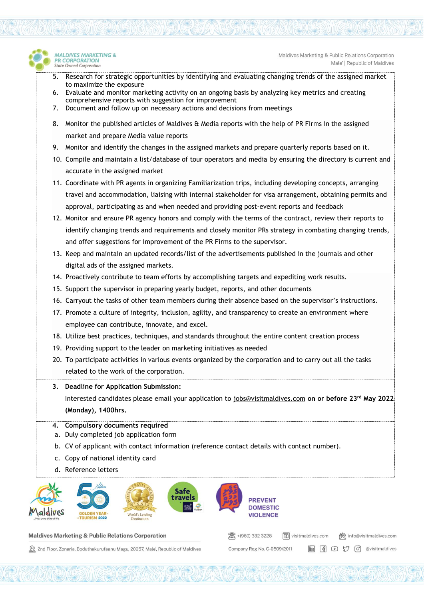

- 5. Research for strategic opportunities by identifying and evaluating changing trends of the assigned market to maximize the exposure
- 6. Evaluate and monitor marketing activity on an ongoing basis by analyzing key metrics and creating comprehensive reports with suggestion for improvement
- 7. Document and follow up on necessary actions and decisions from meetings
- 8. Monitor the published articles of Maldives & Media reports with the help of PR Firms in the assigned market and prepare Media value reports
- 9. Monitor and identify the changes in the assigned markets and prepare quarterly reports based on it.
- 10. Compile and maintain a list/database of tour operators and media by ensuring the directory is current and accurate in the assigned market
- 11. Coordinate with PR agents in organizing Familiarization trips, including developing concepts, arranging travel and accommodation, liaising with internal stakeholder for visa arrangement, obtaining permits and approval, participating as and when needed and providing post-event reports and feedback
- 12. Monitor and ensure PR agency honors and comply with the terms of the contract, review their reports to identify changing trends and requirements and closely monitor PRs strategy in combating changing trends, and offer suggestions for improvement of the PR Firms to the supervisor.
- 13. Keep and maintain an updated records/list of the advertisements published in the journals and other digital ads of the assigned markets.
- 14. Proactively contribute to team efforts by accomplishing targets and expediting work results.
- 15. Support the supervisor in preparing yearly budget, reports, and other documents
- 16. Carryout the tasks of other team members during their absence based on the supervisor's instructions.
- 17. Promote a culture of integrity, inclusion, agility, and transparency to create an environment where employee can contribute, innovate, and excel.
- 18. Utilize best practices, techniques, and standards throughout the entire content creation process
- 19. Providing support to the leader on marketing initiatives as needed
- 20. To participate activities in various events organized by the corporation and to carry out all the tasks related to the work of the corporation.
- **3. Deadline for Application Submission:**  Interested candidates please email your application to [jobs@visitmaldives.com](mailto:jobs@visitmaldives.com) **on or before 23rd May 2022 (Monday), 1400hrs.**

图 +(960) 332 3228

Company Reg No. C-0509/2011

 $\sqrt{10}$  visitmaldives.com

(ovisitmaldives.com

**m** 图 D 【 *©* 】 @visitmaldives

- **4. Compulsory documents required**
- a. Duly completed job application form
- b. CV of applicant with contact information (reference contact details with contact number).
- c. Copy of national identity card
- d. Reference letters

MAI DIVES MARKETING &

**R CORPORATION** 

**State Owned Corporation** 



## **Maldives Marketing & Public Relations Corporation**

2nd Floor, Zonaria, Boduthakurufaanu Magu, 20057, Male', Republic of Maldives